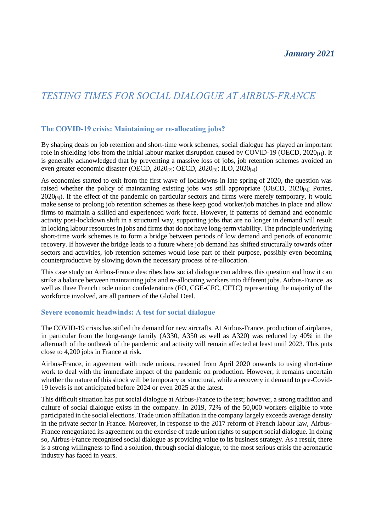## *TESTING TIMES FOR SOCIAL DIALOGUE AT AIRBUS-FRANCE*

### **The COVID-19 crisis: Maintaining or re-allocating jobs?**

By shaping deals on job retention and short-time work schemes, social dialogue has played an important role in shielding jobs from the initial labour market disruption caused by COVID-19 (OECD,  $2020_{(11)}$ ). It is generally acknowledged that by preventing a massive loss of jobs, job retention schemes avoided an even greater economic disaster (OECD, 2020 $_{[2]}$ ; OECD, 2020 $_{[3]}$ ; ILO, 2020 $_{[4]}$ )

As economies started to exit from the first wave of lockdowns in late spring of 2020, the question was raised whether the policy of maintaining existing jobs was still appropriate (OECD, 2020<sub>[3]</sub>; Portes,  $2020_{[5]}$ ). If the effect of the pandemic on particular sectors and firms were merely temporary, it would make sense to prolong job retention schemes as these keep good worker/job matches in place and allow firms to maintain a skilled and experienced work force. However, if patterns of demand and economic activity post-lockdown shift in a structural way, supporting jobs that are no longer in demand will result in locking labour resources in jobs and firms that do not have long-term viability. The principle underlying short-time work schemes is to form a bridge between periods of low demand and periods of economic recovery. If however the bridge leads to a future where job demand has shifted structurally towards other sectors and activities, job retention schemes would lose part of their purpose, possibly even becoming counterproductive by slowing down the necessary process of re-allocation.

This case study on Airbus-France describes how social dialogue can address this question and how it can strike a balance between maintaining jobs and re-allocating workers into different jobs. Airbus-France, as well as three French trade union confederations (FO, CGE-CFC, CFTC) representing the majority of the workforce involved, are all partners of the Global Deal.

#### **Severe economic headwinds: A test for social dialogue**

The COVID-19 crisis has stifled the demand for new aircrafts. At Airbus-France, production of airplanes, in particular from the long-range family (A330, A350 as well as A320) was reduced by 40% in the aftermath of the outbreak of the pandemic and activity will remain affected at least until 2023. This puts close to 4,200 jobs in France at risk.

Airbus-France, in agreement with trade unions, resorted from April 2020 onwards to using short-time work to deal with the immediate impact of the pandemic on production. However, it remains uncertain whether the nature of this shock will be temporary or structural, while a recovery in demand to pre-Covid-19 levels is not anticipated before 2024 or even 2025 at the latest.

This difficult situation has put social dialogue at Airbus-France to the test; however, a strong tradition and culture of social dialogue exists in the company. In 2019, 72% of the 50,000 workers eligible to vote participated in the social elections. Trade union affiliation in the company largely exceeds average density in the private sector in France. Moreover, in response to the 2017 reform of French labour law, Airbus-France renegotiated its agreement on the exercise of trade union rights to support social dialogue. In doing so, Airbus-France recognised social dialogue as providing value to its business strategy. As a result, there is a strong willingness to find a solution, through social dialogue, to the most serious crisis the aeronautic industry has faced in years.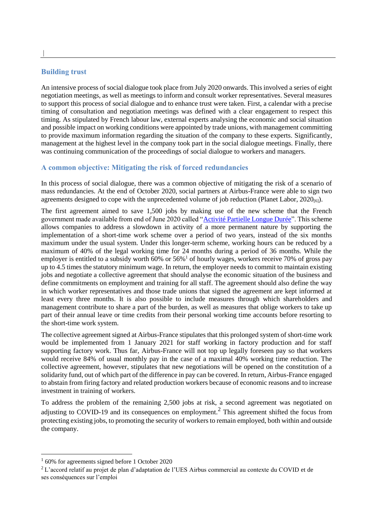#### **Building trust**

An intensive process of social dialogue took place from July 2020 onwards. This involved a series of eight negotiation meetings, as well as meetings to inform and consult worker representatives. Several measures to support this process of social dialogue and to enhance trust were taken. First, a calendar with a precise timing of consultation and negotiation meetings was defined with a clear engagement to respect this timing. As stipulated by French labour law, external experts analysing the economic and social situation and possible impact on working conditions were appointed by trade unions, with management committing to provide maximum information regarding the situation of the company to these experts. Significantly, management at the highest level in the company took part in the social dialogue meetings. Finally, there was continuing communication of the proceedings of social dialogue to workers and managers.

#### **A common objective: Mitigating the risk of forced redundancies**

In this process of social dialogue, there was a common objective of mitigating the risk of a scenario of mass redundancies. At the end of October 2020, social partners at Airbus-France were able to sign two agreements designed to cope with the unprecedented volume of job reduction (Planet Labor,  $2020_{[6]}$ ).

The first agreement aimed to save 1,500 jobs by making use of the new scheme that the French government made available from end of June 2020 called ["Activité Partielle Longue Durée"](https://travail-emploi.gouv.fr/le-ministere-en-action/relance-activite/preserver-les-emplois-et-former-les-salaries/apld). This scheme allows companies to address a slowdown in activity of a more permanent nature by supporting the implementation of a short-time work scheme over a period of two years, instead of the six months maximum under the usual system. Under this longer-term scheme, working hours can be reduced by a maximum of 40% of the legal working time for 24 months during a period of 36 months. While the employer is entitled to a subsidy worth  $60\%$  or  $56\%$ <sup>1</sup> of hourly wages, workers receive 70% of gross pay up to 4.5 times the statutory minimum wage. In return, the employer needs to commit to maintain existing jobs and negotiate a collective agreement that should analyse the economic situation of the business and define commitments on employment and training for all staff. The agreement should also define the way in which worker representatives and those trade unions that signed the agreement are kept informed at least every three months. It is also possible to include measures through which shareholders and management contribute to share a part of the burden, as well as measures that oblige workers to take up part of their annual leave or time credits from their personal working time accounts before resorting to the short-time work system.

The collective agreement signed at Airbus-France stipulates that this prolonged system of short-time work would be implemented from 1 January 2021 for staff working in factory production and for staff supporting factory work. Thus far, Airbus-France will not top up legally foreseen pay so that workers would receive 84% of usual monthly pay in the case of a maximal 40% working time reduction. The collective agreement, however, stipulates that new negotiations will be opened on the constitution of a solidarity fund, out of which part of the difference in pay can be covered. In return, Airbus-France engaged to abstain from firing factory and related production workers because of economic reasons and to increase investment in training of workers.

To address the problem of the remaining 2,500 jobs at risk, a second agreement was negotiated on adjusting to COVID-19 and its consequences on employment.<sup>2</sup> This agreement shifted the focus from protecting existing jobs, to promoting the security of workers to remain employed, both within and outside the company.

 $\overline{a}$ 

 $\overline{\phantom{a}}$ 

<sup>&</sup>lt;sup>1</sup> 60% for agreements signed before 1 October 2020

<sup>2</sup> L'accord relatif au projet de plan d'adaptation de l'UES Airbus commercial au contexte du COVID et de ses conséquences sur l'emploi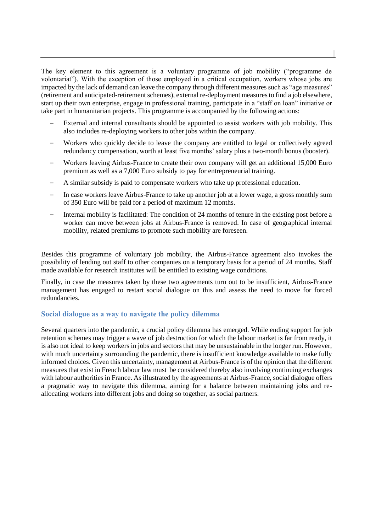The key element to this agreement is a voluntary programme of job mobility ("programme de volontariat"). With the exception of those employed in a critical occupation, workers whose jobs are impacted by the lack of demand can leave the company through different measures such as "age measures" (retirement and anticipated-retirement schemes), external re-deployment measures to find a job elsewhere, start up their own enterprise, engage in professional training, participate in a "staff on loan" initiative or take part in humanitarian projects. This programme is accompanied by the following actions:

- ‒ External and internal consultants should be appointed to assist workers with job mobility. This also includes re-deploying workers to other jobs within the company.
- Workers who quickly decide to leave the company are entitled to legal or collectively agreed redundancy compensation, worth at least five months' salary plus a two-month bonus (booster).
- ‒ Workers leaving Airbus-France to create their own company will get an additional 15,000 Euro premium as well as a 7,000 Euro subsidy to pay for entrepreneurial training.
- ‒ A similar subsidy is paid to compensate workers who take up professional education.
- ‒ In case workers leave Airbus-France to take up another job at a lower wage, a gross monthly sum of 350 Euro will be paid for a period of maximum 12 months.
- ‒ Internal mobility is facilitated: The condition of 24 months of tenure in the existing post before a worker can move between jobs at Airbus-France is removed. In case of geographical internal mobility, related premiums to promote such mobility are foreseen.

Besides this programme of voluntary job mobility, the Airbus-France agreement also invokes the possibility of lending out staff to other companies on a temporary basis for a period of 24 months. Staff made available for research institutes will be entitled to existing wage conditions.

Finally, in case the measures taken by these two agreements turn out to be insufficient, Airbus-France management has engaged to restart social dialogue on this and assess the need to move for forced redundancies.

#### **Social dialogue as a way to navigate the policy dilemma**

Several quarters into the pandemic, a crucial policy dilemma has emerged. While ending support for job retention schemes may trigger a wave of job destruction for which the labour market is far from ready, it is also not ideal to keep workers in jobs and sectors that may be unsustainable in the longer run. However, with much uncertainty surrounding the pandemic, there is insufficient knowledge available to make fully informed choices. Given this uncertainty, management at Airbus-France is of the opinion that the different measures that exist in French labour law must be considered thereby also involving continuing exchanges with labour authorities in France. As illustrated by the agreements at Airbus-France, social dialogue offers a pragmatic way to navigate this dilemma, aiming for a balance between maintaining jobs and reallocating workers into different jobs and doing so together, as social partners.